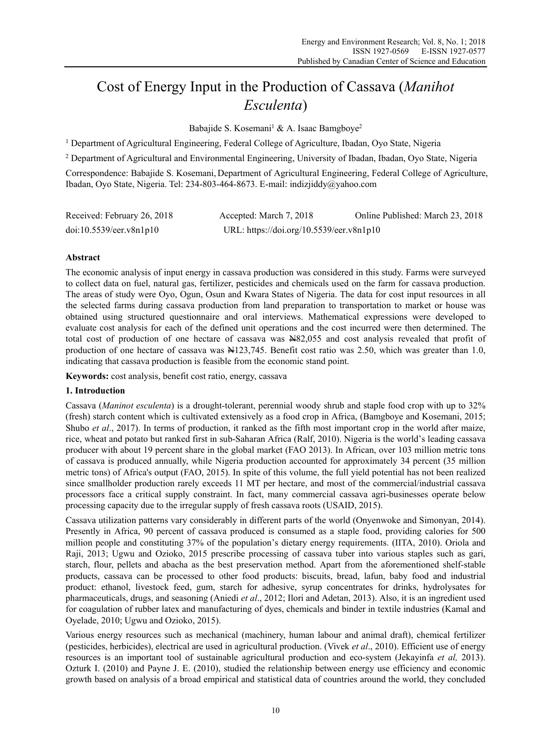# Cost of Energy Input in the Production of Cassava (*Manihot Esculenta*)

Babajide S. Kosemani<sup>1</sup> & A. Isaac Bamgboye<sup>2</sup>

<sup>1</sup> Department of Agricultural Engineering, Federal College of Agriculture, Ibadan, Oyo State, Nigeria

<sup>2</sup> Department of Agricultural and Environmental Engineering, University of Ibadan, Ibadan, Oyo State, Nigeria

Correspondence: Babajide S. Kosemani, Department of Agricultural Engineering, Federal College of Agriculture, Ibadan, Oyo State, Nigeria. Tel: 234-803-464-8673. E-mail: indizjiddy@yahoo.com

| Received: February 26, 2018 | Accepted: March 7, 2018                  | Online Published: March 23, 2018 |
|-----------------------------|------------------------------------------|----------------------------------|
| doi:10.5539/eer.v8n1p10     | URL: https://doi.org/10.5539/eer.v8n1p10 |                                  |

# **Abstract**

The economic analysis of input energy in cassava production was considered in this study. Farms were surveyed to collect data on fuel, natural gas, fertilizer, pesticides and chemicals used on the farm for cassava production. The areas of study were Oyo, Ogun, Osun and Kwara States of Nigeria. The data for cost input resources in all the selected farms during cassava production from land preparation to transportation to market or house was obtained using structured questionnaire and oral interviews. Mathematical expressions were developed to evaluate cost analysis for each of the defined unit operations and the cost incurred were then determined. The total cost of production of one hectare of cassava was N82,055 and cost analysis revealed that profit of production of one hectare of cassava was N123,745. Benefit cost ratio was 2.50, which was greater than 1.0, indicating that cassava production is feasible from the economic stand point.

**Keywords:** cost analysis, benefit cost ratio, energy, cassava

# **1. Introduction**

Cassava (*Maninot esculenta*) is a drought-tolerant, perennial woody shrub and staple food crop with up to 32% (fresh) starch content which is cultivated extensively as a food crop in Africa, (Bamgboye and Kosemani, 2015; Shubo *et al*., 2017). In terms of production, it ranked as the fifth most important crop in the world after maize, rice, wheat and potato but ranked first in sub-Saharan Africa (Ralf, 2010). Nigeria is the world's leading cassava producer with about 19 percent share in the global market (FAO 2013). In African, over 103 million metric tons of cassava is produced annually, while Nigeria production accounted for approximately 34 percent (35 million metric tons) of Africa's output (FAO, 2015). In spite of this volume, the full yield potential has not been realized since smallholder production rarely exceeds 11 MT per hectare, and most of the commercial/industrial cassava processors face a critical supply constraint. In fact, many commercial cassava agri-businesses operate below processing capacity due to the irregular supply of fresh cassava roots (USAID, 2015).

Cassava utilization patterns vary considerably in different parts of the world (Onyenwoke and Simonyan, 2014). Presently in Africa, 90 percent of cassava produced is consumed as a staple food, providing calories for 500 million people and constituting 37% of the population's dietary energy requirements. (IITA, 2010). Oriola and Raji, 2013; Ugwu and Ozioko, 2015 prescribe processing of cassava tuber into various staples such as gari, starch, flour, pellets and abacha as the best preservation method. Apart from the aforementioned shelf-stable products, cassava can be processed to other food products: biscuits, bread, lafun, baby food and industrial product: ethanol, livestock feed, gum, starch for adhesive, syrup concentrates for drinks, hydrolysates for pharmaceuticals, drugs, and seasoning (Aniedi *et al*., 2012; Ilori and Adetan, 2013). Also, it is an ingredient used for coagulation of rubber latex and manufacturing of dyes, chemicals and binder in textile industries (Kamal and Oyelade, 2010; Ugwu and Ozioko, 2015).

Various energy resources such as mechanical (machinery, human labour and animal draft), chemical fertilizer (pesticides, herbicides), electrical are used in agricultural production. (Vivek *et al*., 2010). Efficient use of energy resources is an important tool of sustainable agricultural production and eco-system (Jekayinfa *et al,* 2013). Ozturk I. (2010) and Payne J. E. (2010), studied the relationship between energy use efficiency and economic growth based on analysis of a broad empirical and statistical data of countries around the world, they concluded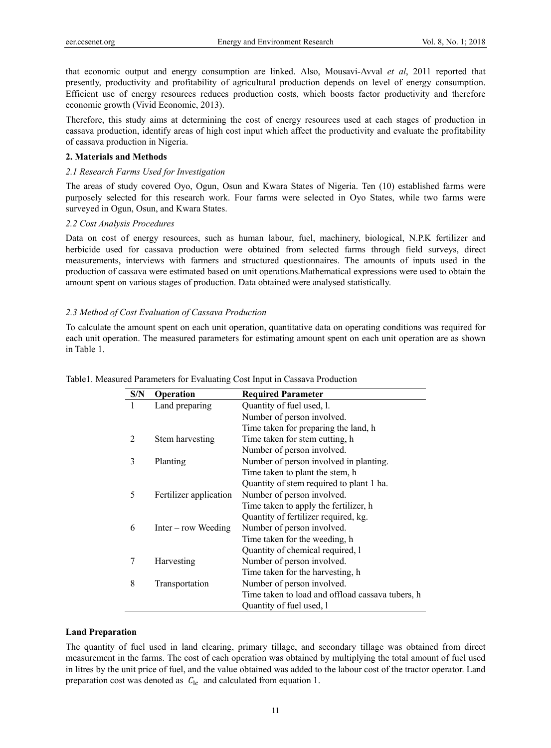that economic output and energy consumption are linked. Also, Mousavi-Avval *et al*, 2011 reported that presently, productivity and profitability of agricultural production depends on level of energy consumption. Efficient use of energy resources reduces production costs, which boosts factor productivity and therefore economic growth (Vivid Economic, 2013).

Therefore, this study aims at determining the cost of energy resources used at each stages of production in cassava production, identify areas of high cost input which affect the productivity and evaluate the profitability of cassava production in Nigeria.

# **2. Materials and Methods**

# *2.1 Research Farms Used for Investigation*

The areas of study covered Oyo, Ogun, Osun and Kwara States of Nigeria. Ten (10) established farms were purposely selected for this research work. Four farms were selected in Oyo States, while two farms were surveyed in Ogun, Osun, and Kwara States.

# *2.2 Cost Analysis Procedures*

Data on cost of energy resources, such as human labour, fuel, machinery, biological, N.P.K fertilizer and herbicide used for cassava production were obtained from selected farms through field surveys, direct measurements, interviews with farmers and structured questionnaires. The amounts of inputs used in the production of cassava were estimated based on unit operations.Mathematical expressions were used to obtain the amount spent on various stages of production. Data obtained were analysed statistically.

# *2.3 Method of Cost Evaluation of Cassava Production*

To calculate the amount spent on each unit operation, quantitative data on operating conditions was required for each unit operation. The measured parameters for estimating amount spent on each unit operation are as shown in Table 1.

| S/N | <b>Operation</b>       | <b>Required Parameter</b>                        |
|-----|------------------------|--------------------------------------------------|
| 1   | Land preparing         | Quantity of fuel used, l.                        |
|     |                        | Number of person involved.                       |
|     |                        | Time taken for preparing the land, h             |
| 2   | Stem harvesting        | Time taken for stem cutting, h                   |
|     |                        | Number of person involved.                       |
| 3   | Planting               | Number of person involved in planting.           |
|     |                        | Time taken to plant the stem, h                  |
|     |                        | Quantity of stem required to plant 1 ha.         |
| 5   | Fertilizer application | Number of person involved.                       |
|     |                        | Time taken to apply the fertilizer, h            |
|     |                        | Quantity of fertilizer required, kg.             |
| 6   | $Inter - row Weeding$  | Number of person involved.                       |
|     |                        | Time taken for the weeding, h                    |
|     |                        | Quantity of chemical required, l                 |
| 7   | Harvesting             | Number of person involved.                       |
|     |                        | Time taken for the harvesting, h                 |
| 8   | Transportation         | Number of person involved.                       |
|     |                        | Time taken to load and offload cassava tubers, h |
|     |                        | Quantity of fuel used, l                         |

Table1. Measured Parameters for Evaluating Cost Input in Cassava Production

### **Land Preparation**

The quantity of fuel used in land clearing, primary tillage, and secondary tillage was obtained from direct measurement in the farms. The cost of each operation was obtained by multiplying the total amount of fuel used in litres by the unit price of fuel, and the value obtained was added to the labour cost of the tractor operator. Land preparation cost was denoted as  $C_{1c}$  and calculated from equation 1.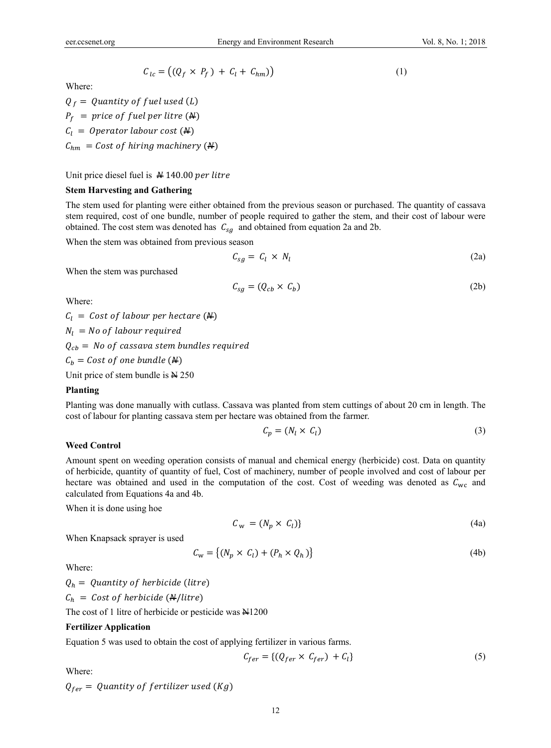$$
C_{lc} = ((Q_f \times P_f) + C_l + C_{hm}))
$$
\n(1)

Where:

 $Q_f =$  Quantity of fuel used (L)  $P_f$  = price of fuel per litre ( $\angle$ )  $C_l = Operator$  labour cost  $(\frac{M}{l})$  $C_{hm} = Cost of hiring machinery (A)$ 

Unit price diesel fuel is  $# 140.00$  per litre

# **Stem Harvesting and Gathering**

The stem used for planting were either obtained from the previous season or purchased. The quantity of cassava stem required, cost of one bundle, number of people required to gather the stem, and their cost of labour were obtained. The cost stem was denoted has  $C_{sa}$  and obtained from equation 2a and 2b.

When the stem was obtained from previous season

$$
C_{sg} = C_l \times N_l \tag{2a}
$$

When the stem was purchased

$$
C_{sg} = (Q_{cb} \times C_b) \tag{2b}
$$

Where:

 $C_l = Cost of labour per hectare (M)$  $N_l$  = No of labour required  $Q_{cb} =$  No of cassava stem bundles required  $C_b = Cost of one bundle (M)$ Unit price of stem bundle is  $N_{250}$ 

### **Planting**

Planting was done manually with cutlass. Cassava was planted from stem cuttings of about 20 cm in length. The cost of labour for planting cassava stem per hectare was obtained from the farmer.

$$
C_p = (N_l \times C_l) \tag{3}
$$

### **Weed Control**

Amount spent on weeding operation consists of manual and chemical energy (herbicide) cost. Data on quantity of herbicide, quantity of quantity of fuel, Cost of machinery, number of people involved and cost of labour per hectare was obtained and used in the computation of the cost. Cost of weeding was denoted as  $C_{\text{wc}}$  and calculated from Equations 4a and 4b.

When it is done using hoe

$$
C_w = (N_p \times C_l) \tag{4a}
$$

When Knapsack sprayer is used

$$
C_{\mathbf{w}} = \{ (N_p \times C_l) + (P_h \times Q_h) \} \tag{4b}
$$

Where:

 $Q_h =$  Quantity of herbicide (litre)  $C_h = Cost of herbicide (A/litre)$ 

The cost of 1 litre of herbicide or pesticide was  $\frac{N}{1200}$ 

### **Fertilizer Application**

Equation 5 was used to obtain the cost of applying fertilizer in various farms.

$$
C_{fer} = \{ (Q_{fer} \times C_{fer}) + C_l \}
$$
 (5)

Where:

 $Q_{fer} =$  Quantity of fertilizer used (Kg)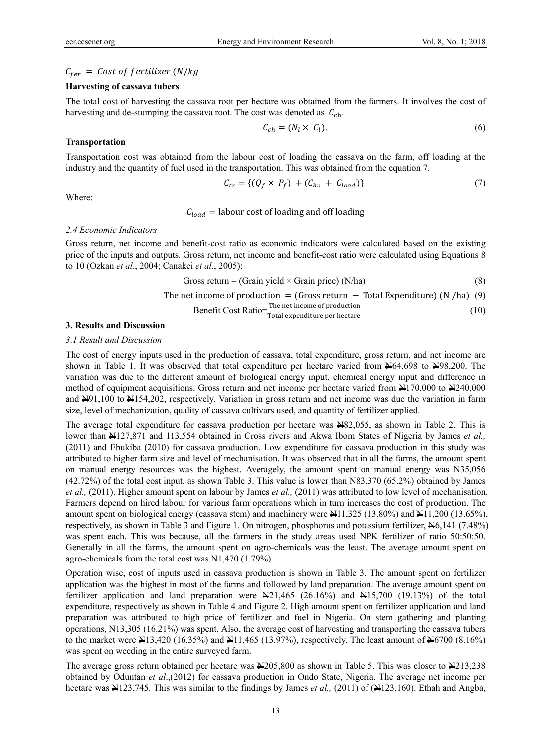# $C_{fer}$  = Cost of fertilizer ( $\frac{N}{kg}$

# **Harvesting of cassava tubers**

The total cost of harvesting the cassava root per hectare was obtained from the farmers. It involves the cost of harvesting and de-stumping the cassava root. The cost was denoted as  $C_{\text{ch}}$ .

$$
\mathcal{C}_{ch} = (N_l \times \mathcal{C}_l). \tag{6}
$$

### **Transportation**

Transportation cost was obtained from the labour cost of loading the cassava on the farm, off loading at the industry and the quantity of fuel used in the transportation. This was obtained from the equation 7.

$$
\mathcal{C}_{tr} = \{ (Q_f \times P_f) + (C_{hv} + C_{load}) \} \tag{7}
$$

Where:

### $C_{load}$  = labour cost of loading and off loading

#### *2.4 Economic Indicators*

Gross return, net income and benefit-cost ratio as economic indicators were calculated based on the existing price of the inputs and outputs. Gross return, net income and benefit-cost ratio were calculated using Equations 8 to 10 (Ozkan *et al*., 2004; Canakci *et al*., 2005):

$$
Gross return = (Grain yield \times Grain price) (\mathbb{A}/ha)
$$
\n(8)

The net income of production = (Gross return - Total Expenditure)  $(\frac{M}{h})$  (9)

Benefit Cost Ratio = 
$$
\frac{\text{The net income of production}}{\text{Total expenditure per hectare}}
$$
 (10)

#### **3. Results and Discussion**

### *3.1 Result and Discussion*

The cost of energy inputs used in the production of cassava, total expenditure, gross return, and net income are shown in Table 1. It was observed that total expenditure per hectare varied from N64,698 to N98,200. The variation was due to the different amount of biological energy input, chemical energy input and difference in method of equipment acquisitions. Gross return and net income per hectare varied from N170,000 to N240,000 and N91,100 to N154,202, respectively. Variation in gross return and net income was due the variation in farm size, level of mechanization, quality of cassava cultivars used, and quantity of fertilizer applied.

The average total expenditure for cassava production per hectare was  $\frac{120,055}{10,055}$ , as shown in Table 2. This is lower than  $\frac{127}{871}$  and 113,554 obtained in Cross rivers and Akwa Ibom States of Nigeria by James *et al.*, (2011) and Ebukiba (2010) for cassava production. Low expenditure for cassava production in this study was attributed to higher farm size and level of mechanisation. It was observed that in all the farms, the amount spent on manual energy resources was the highest. Averagely, the amount spent on manual energy was  $\text{H}35,056$  $(42.72%)$  of the total cost input, as shown Table 3. This value is lower than  $\frac{1883,370}{65.2\%}$  obtained by James *et al.,* (2011). Higher amount spent on labour by James *et al.,* (2011) was attributed to low level of mechanisation. Farmers depend on hired labour for various farm operations which in turn increases the cost of production. The amount spent on biological energy (cassava stem) and machinery were  $\text{H11,325}$  (13.80%) and  $\text{H11,200}$  (13.65%), respectively, as shown in Table 3 and Figure 1. On nitrogen, phosphorus and potassium fertilizer,  $\frac{10}{141}$  (7.48%) was spent each. This was because, all the farmers in the study areas used NPK fertilizer of ratio 50:50:50. Generally in all the farms, the amount spent on agro-chemicals was the least. The average amount spent on agro-chemicals from the total cost was  $\frac{11,470}{1.79\%}$ .

Operation wise, cost of inputs used in cassava production is shown in Table 3. The amount spent on fertilizer application was the highest in most of the farms and followed by land preparation. The average amount spent on fertilizer application and land preparation were N21,465 (26.16%) and N15,700 (19.13%) of the total expenditure, respectively as shown in Table 4 and Figure 2. High amount spent on fertilizer application and land preparation was attributed to high price of fertilizer and fuel in Nigeria. On stem gathering and planting operations, N13,305 (16.21%) was spent. Also, the average cost of harvesting and transporting the cassava tubers to the market were  $\text{\&}13,420$  (16.35%) and  $\text{\&}11,465$  (13.97%), respectively. The least amount of  $\text{\&}6700$  (8.16%) was spent on weeding in the entire surveyed farm.

The average gross return obtained per hectare was N205,800 as shown in Table 5. This was closer to N213,238 obtained by Oduntan *et al*.,(2012) for cassava production in Ondo State, Nigeria. The average net income per hectare was N123,745. This was similar to the findings by James *et al.*, (2011) of (N123,160). Ethah and Angba,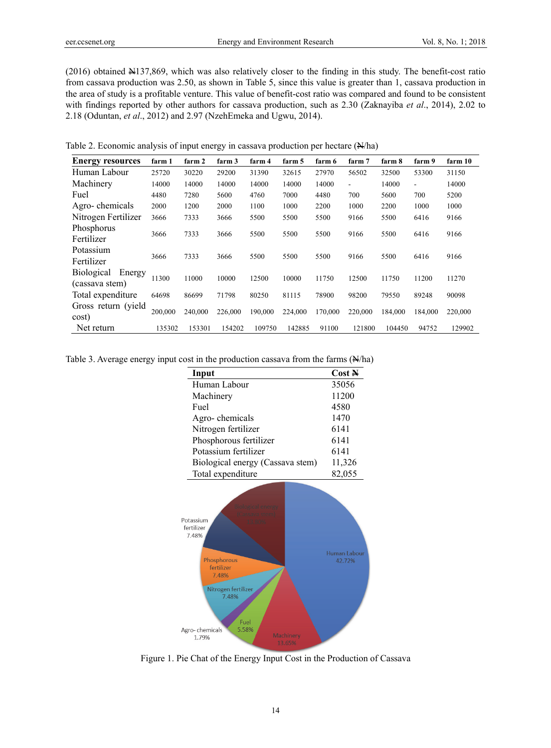(2016) obtained N137,869, which was also relatively closer to the finding in this study. The benefit-cost ratio from cassava production was 2.50, as shown in Table 5, since this value is greater than 1, cassava production in the area of study is a profitable venture. This value of benefit-cost ratio was compared and found to be consistent with findings reported by other authors for cassava production, such as 2.30 (Zaknayiba *et al*., 2014), 2.02 to 2.18 (Oduntan, *et al*., 2012) and 2.97 (NzehEmeka and Ugwu, 2014).

Table 2. Economic analysis of input energy in cassava production per hectare (N/ha)

| <b>Energy resources</b> | farm 1  | farm 2  | farm 3  | farm 4  | farm 5  | farm 6  | farm 7  | farm 8  | farm 9                   | farm 10 |
|-------------------------|---------|---------|---------|---------|---------|---------|---------|---------|--------------------------|---------|
| Human Labour            | 25720   | 30220   | 29200   | 31390   | 32615   | 27970   | 56502   | 32500   | 53300                    | 31150   |
| Machinery               | 14000   | 14000   | 14000   | 14000   | 14000   | 14000   | ۰       | 14000   | $\overline{\phantom{a}}$ | 14000   |
| Fuel                    | 4480    | 7280    | 5600    | 4760    | 7000    | 4480    | 700     | 5600    | 700                      | 5200    |
| Agro-chemicals          | 2000    | 1200    | 2000    | 1100    | 1000    | 2200    | 1000    | 2200    | 1000                     | 1000    |
| Nitrogen Fertilizer     | 3666    | 7333    | 3666    | 5500    | 5500    | 5500    | 9166    | 5500    | 6416                     | 9166    |
| Phosphorus              |         |         |         |         |         |         |         |         |                          |         |
| Fertilizer              | 3666    | 7333    | 3666    | 5500    | 5500    | 5500    | 9166    | 5500    | 6416                     | 9166    |
| Potassium               |         |         |         |         |         |         |         |         |                          |         |
| Fertilizer              | 3666    | 7333    | 3666    | 5500    | 5500    | 5500    | 9166    | 5500    | 6416                     | 9166    |
| Biological<br>Energy    |         |         |         |         |         |         |         |         |                          |         |
| (cassava stem)          | 11300   | 11000   | 10000   | 12500   | 10000   | 11750   | 12500   | 11750   | 11200                    | 11270   |
| Total expenditure       | 64698   | 86699   | 71798   | 80250   | 81115   | 78900   | 98200   | 79550   | 89248                    | 90098   |
| Gross return (yield     |         |         |         |         |         |         |         |         |                          |         |
| cost)                   | 200,000 | 240,000 | 226,000 | 190,000 | 224,000 | 170,000 | 220,000 | 184,000 | 184,000                  | 220,000 |
| Net return              | 135302  | 153301  | 154202  | 109750  | 142885  | 91100   | 121800  | 104450  | 94752                    | 129902  |

Table 3. Average energy input cost in the production cassava from the farms (N/ha)

| Input                                                                                    | Cost N                 |
|------------------------------------------------------------------------------------------|------------------------|
| Human Labour                                                                             | 35056                  |
| Machinery                                                                                | 11200                  |
| Fuel                                                                                     | 4580                   |
| Agro-chemicals                                                                           | 1470                   |
| Nitrogen fertilizer                                                                      | 6141                   |
| Phosphorous fertilizer                                                                   | 6141                   |
| Potassium fertilizer                                                                     | 6141                   |
| Biological energy (Cassava stem)                                                         | 11,326                 |
| Total expenditure                                                                        | 82,055                 |
| <b>Biological energy</b><br>(Cassava stem)<br>Potassium<br>13.80%<br>fertilizer<br>7.48% |                        |
| Phosphorous<br>fertilizer<br>7.48%<br>Nitrogen fertilizer<br>7.48%<br>Fuel               | Human Labour<br>42.72% |
| 5.58%<br>Agro-chemicals<br>Machinery<br>1.79%<br>13.65%                                  |                        |

Figure 1. Pie Chat of the Energy Input Cost in the Production of Cassava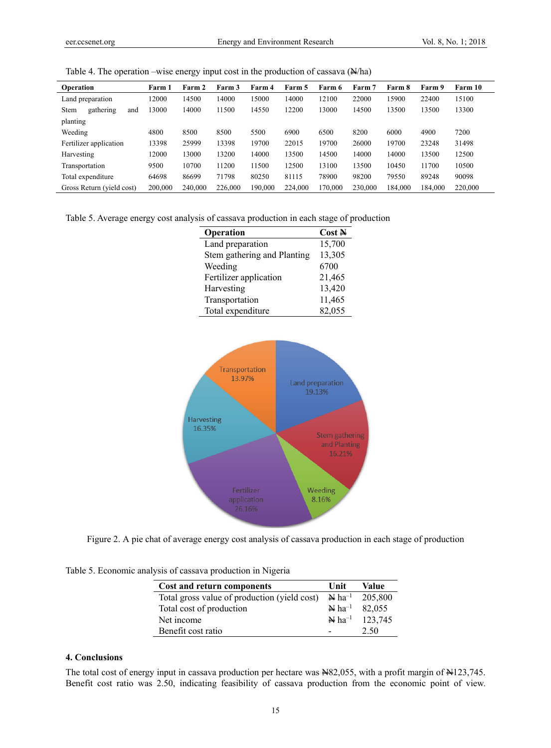|  |  | Table 4. The operation –wise energy input cost in the production of cassava $(N/ha)$ |  |
|--|--|--------------------------------------------------------------------------------------|--|
|  |  |                                                                                      |  |
|  |  |                                                                                      |  |
|  |  |                                                                                      |  |

| Operation                 | Farm 1  | Farm 2  | Farm 3  | Farm 4  | Farm 5  | Farm 6  | Farm 7  | Farm 8  | Farm 9  | Farm 10 |
|---------------------------|---------|---------|---------|---------|---------|---------|---------|---------|---------|---------|
| Land preparation          | 12000   | 14500   | 14000   | 15000   | 14000   | 12100   | 22000   | 15900   | 22400   | 15100   |
| gathering<br>Stem<br>and  | 13000   | 14000   | 11500   | 14550   | 12200   | 13000   | 14500   | 13500   | 13500   | 13300   |
| planting                  |         |         |         |         |         |         |         |         |         |         |
| Weeding                   | 4800    | 8500    | 8500    | 5500    | 6900    | 6500    | 8200    | 6000    | 4900    | 7200    |
| Fertilizer application    | 13398   | 25999   | 13398   | 19700   | 22015   | 19700   | 26000   | 19700   | 23248   | 31498   |
| Harvesting                | 12000   | 13000   | 13200   | 14000   | 13500   | 14500   | 14000   | 14000   | 13500   | 12500   |
| Transportation            | 9500    | 10700   | 11200   | 11500   | 12500   | 13100   | 13500   | 10450   | 11700   | 10500   |
| Total expenditure         | 64698   | 86699   | 71798   | 80250   | 81115   | 78900   | 98200   | 79550   | 89248   | 90098   |
| Gross Return (yield cost) | 200,000 | 240,000 | 226,000 | 190,000 | 224,000 | 170,000 | 230,000 | 184.000 | 184,000 | 220,000 |

Table 5. Average energy cost analysis of cassava production in each stage of production

| Operation                   | Cost N |
|-----------------------------|--------|
| Land preparation            | 15,700 |
| Stem gathering and Planting | 13,305 |
| Weeding                     | 6700   |
| Fertilizer application      | 21,465 |
| Harvesting                  | 13,420 |
| Transportation              | 11,465 |
| Total expenditure           | 82,055 |



Figure 2. A pie chat of average energy cost analysis of cassava production in each stage of production

Table 5. Economic analysis of cassava production in Nigeria

| Cost and return components                   | Unit | <b>Value</b>                           |
|----------------------------------------------|------|----------------------------------------|
| Total gross value of production (yield cost) |      | $\mathbb{N}$ ha <sup>-1</sup> 205,800  |
| Total cost of production                     |      | $\mathbb{N}$ ha <sup>-1</sup> 82,055   |
| Net income                                   |      | $\mathbf{\&}$ ha <sup>-1</sup> 123,745 |
| Benefit cost ratio                           |      | 2.50                                   |

# **4. Conclusions**

The total cost of energy input in cassava production per hectare was N82,055, with a profit margin of N123,745. Benefit cost ratio was 2.50, indicating feasibility of cassava production from the economic point of view.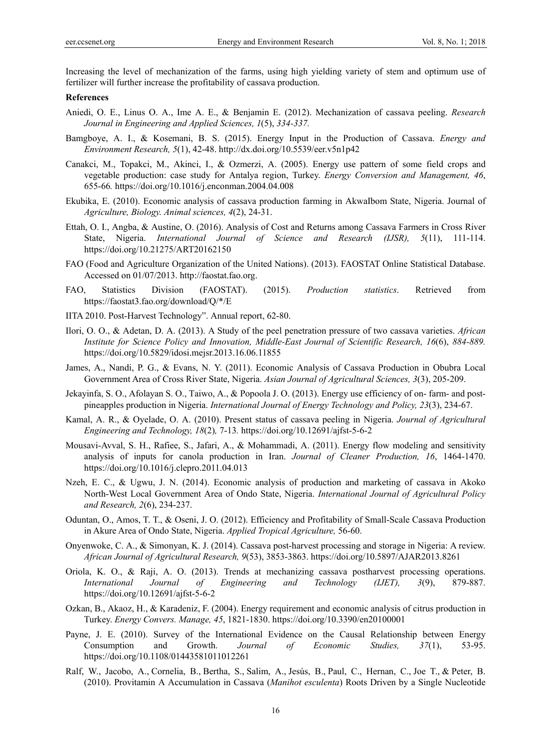Increasing the level of mechanization of the farms, using high yielding variety of stem and optimum use of fertilizer will further increase the profitability of cassava production.

### **References**

- Aniedi, O. E., Linus O. A., Ime A. E., & Benjamin E. (2012). Mechanization of cassava peeling. *Research Journal in Engineering and Applied Sciences, 1*(5), *334-337.*
- Bamgboye, A. I., & Kosemani, B. S. (2015). Energy Input in the Production of Cassava. *Energy and Environment Research, 5*(1), 42-48. http://dx.doi.org/10.5539/eer.v5n1p42
- Canakci, M., Topakci, M., Akinci, I., & Ozmerzi, A. (2005). Energy use pattern of some field crops and vegetable production: case study for Antalya region, Turkey. *Energy Conversion and Management, 46*, 655-66*.* https://doi.org/10.1016/j.enconman.2004.04.008
- Ekubika, E. (2010). Economic analysis of cassava production farming in AkwaIbom State, Nigeria. Journal of *Agriculture, Biology. Animal sciences, 4*(2), 24-31.
- Ettah, O. I., Angba, & Austine, O. (2016). Analysis of Cost and Returns among Cassava Farmers in Cross River State, Nigeria. *International Journal of Science and Research (IJSR), 5*(11), 111-114. https://doi.org/10.21275/ART20162150
- FAO (Food and Agriculture Organization of the United Nations). (2013). FAOSTAT Online Statistical Database. Accessed on 01/07/2013. http://faostat.fao.org.
- FAO, Statistics Division (FAOSTAT). (2015). *Production statistics*. Retrieved from https://faostat3.fao.org/download/Q/\*/E
- IITA 2010. Post-Harvest Technology". Annual report, 62-80.
- Ilori, O. O., & Adetan, D. A. (2013). A Study of the peel penetration pressure of two cassava varieties. *African Institute for Science Policy and Innovation, Middle-East Journal of Scientific Research, 16*(6), *884-889.* https://doi.org/10.5829/idosi.mejsr.2013.16.06.11855
- James, A., Nandi, P. G., & Evans, N. Y. (2011). Economic Analysis of Cassava Production in Obubra Local Government Area of Cross River State, Nigeria. *Asian Journal of Agricultural Sciences, 3*(3), 205-209.
- Jekayinfa, S. O., Afolayan S. O., Taiwo, A., & Popoola J. O. (2013). Energy use efficiency of on- farm- and postpineapples production in Nigeria. *International Journal of Energy Technology and Policy, 23*(3), 234-67.
- Kamal, A. R., & Oyelade, O. A. (2010). Present status of cassava peeling in Nigeria. *Journal of Agricultural Engineering and Technology, 18*(2)*,* 7-13*.* https://doi.org/10.12691/ajfst-5-6-2
- Mousavi-Avval, S. H., Rafiee, S., Jafari, A., & Mohammadi, A. (2011). Energy flow modeling and sensitivity analysis of inputs for canola production in Iran. *Journal of Cleaner Production, 16*, 1464-1470. https://doi.org/10.1016/j.clepro.2011.04.013
- Nzeh, E. C., & Ugwu, J. N. (2014). Economic analysis of production and marketing of cassava in Akoko North-West Local Government Area of Ondo State, Nigeria. *International Journal of Agricultural Policy and Research, 2*(6), 234-237.
- Oduntan, O., Amos, T. T., & Oseni, J. O. (2012). Efficiency and Profitability of Small-Scale Cassava Production in Akure Area of Ondo State, Nigeria. *Applied Tropical Agriculture,* 56-60.
- Onyenwoke, C. A., & Simonyan, K. J. (2014). Cassava post-harvest processing and storage in Nigeria: A review. *African Journal of Agricultural Research, 9*(53), 3853-3863. https://doi.org/10.5897/AJAR2013.8261
- Oriola, K. O., & Raji, A. O. (2013). Trends at mechanizing cassava postharvest processing operations. *International Journal of Engineering and Technology (IJET), 3*(9), 879-887. https://doi.org/10.12691/ajfst-5-6-2
- Ozkan, B., Akaoz, H., & Karadeniz, F. (2004). Energy requirement and economic analysis of citrus production in Turkey. *Energy Convers. Manage, 45*, 1821-1830. https://doi.org/10.3390/en20100001
- Payne, J. E. (2010). Survey of the International Evidence on the Causal Relationship between Energy Consumption and Growth. *Journal of Economic Studies, 37*(1), 53-95. https://doi.org/10.1108/01443581011012261
- Ralf, W., Jacobo, A., Cornelia, B., Bertha, S., Salim, A., Jesús, B., Paul, C., Hernan, C., Joe T., & Peter, B. (2010). Provitamin A Accumulation in Cassava (*Manihot esculenta*) Roots Driven by a Single Nucleotide